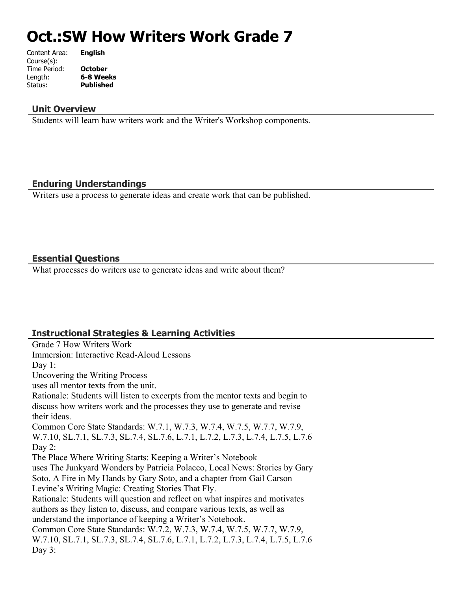# **Oct.:SW How Writers Work Grade 7**

| Content Area: | <b>English</b>   |
|---------------|------------------|
| Course(s):    |                  |
| Time Period:  | <b>October</b>   |
| Length:       | 6-8 Weeks        |
| Status:       | <b>Published</b> |
|               |                  |

#### **Unit Overview**

Students will learn haw writers work and the Writer's Workshop components.

## **Enduring Understandings**

Writers use a process to generate ideas and create work that can be published.

#### **Essential Questions**

What processes do writers use to generate ideas and write about them?

# **Instructional Strategies & Learning Activities**

Grade 7 How Writers Work Immersion: Interactive Read-Aloud Lessons Day 1: Uncovering the Writing Process uses all mentor texts from the unit. Rationale: Students will listen to excerpts from the mentor texts and begin to discuss how writers work and the processes they use to generate and revise their ideas. Common Core State Standards: W.7.1, W.7.3, W.7.4, W.7.5, W.7.7, W.7.9, W.7.10, SL.7.1, SL.7.3, SL.7.4, SL.7.6, L.7.1, L.7.2, L.7.3, L.7.4, L.7.5, L.7.6 Day 2: The Place Where Writing Starts: Keeping a Writer's Notebook uses The Junkyard Wonders by Patricia Polacco, Local News: Stories by Gary Soto, A Fire in My Hands by Gary Soto, and a chapter from Gail Carson Levine's Writing Magic: Creating Stories That Fly. Rationale: Students will question and reflect on what inspires and motivates authors as they listen to, discuss, and compare various texts, as well as understand the importance of keeping a Writer's Notebook. Common Core State Standards: W.7.2, W.7.3, W.7.4, W.7.5, W.7.7, W.7.9, W.7.10, SL.7.1, SL.7.3, SL.7.4, SL.7.6, L.7.1, L.7.2, L.7.3, L.7.4, L.7.5, L.7.6 Day 3: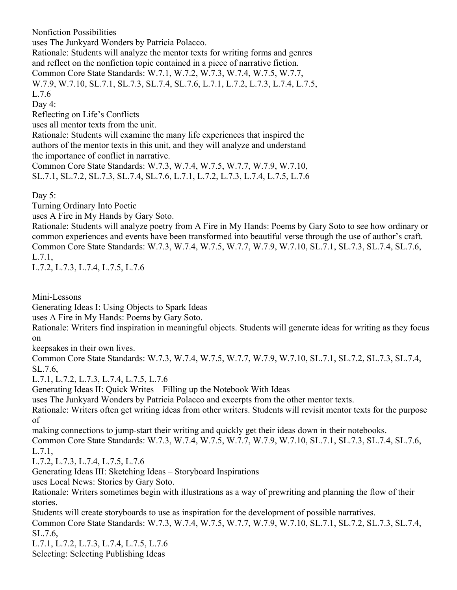Nonfiction Possibilities

uses The Junkyard Wonders by Patricia Polacco.

Rationale: Students will analyze the mentor texts for writing forms and genres and reflect on the nonfiction topic contained in a piece of narrative fiction.

Common Core State Standards: W.7.1, W.7.2, W.7.3, W.7.4, W.7.5, W.7.7,

W.7.9, W.7.10, SL.7.1, SL.7.3, SL.7.4, SL.7.6, L.7.1, L.7.2, L.7.3, L.7.4, L.7.5, L.7.6

Day 4:

Reflecting on Life's Conflicts

uses all mentor texts from the unit.

Rationale: Students will examine the many life experiences that inspired the authors of the mentor texts in this unit, and they will analyze and understand the importance of conflict in narrative.

Common Core State Standards: W.7.3, W.7.4, W.7.5, W.7.7, W.7.9, W.7.10, SL.7.1, SL.7.2, SL.7.3, SL.7.4, SL.7.6, L.7.1, L.7.2, L.7.3, L.7.4, L.7.5, L.7.6

Day 5:

Turning Ordinary Into Poetic

uses A Fire in My Hands by Gary Soto.

Rationale: Students will analyze poetry from A Fire in My Hands: Poems by Gary Soto to see how ordinary or common experiences and events have been transformed into beautiful verse through the use of author's craft. Common Core State Standards: W.7.3, W.7.4, W.7.5, W.7.7, W.7.9, W.7.10, SL.7.1, SL.7.3, SL.7.4, SL.7.6, L.7.1,

L.7.2, L.7.3, L.7.4, L.7.5, L.7.6

Mini-Lessons

Generating Ideas I: Using Objects to Spark Ideas

uses A Fire in My Hands: Poems by Gary Soto.

Rationale: Writers find inspiration in meaningful objects. Students will generate ideas for writing as they focus on

keepsakes in their own lives.

Common Core State Standards: W.7.3, W.7.4, W.7.5, W.7.7, W.7.9, W.7.10, SL.7.1, SL.7.2, SL.7.3, SL.7.4, SL.7.6,

L.7.1, L.7.2, L.7.3, L.7.4, L.7.5, L.7.6

Generating Ideas II: Quick Writes – Filling up the Notebook With Ideas

uses The Junkyard Wonders by Patricia Polacco and excerpts from the other mentor texts.

Rationale: Writers often get writing ideas from other writers. Students will revisit mentor texts for the purpose of

making connections to jump-start their writing and quickly get their ideas down in their notebooks.

Common Core State Standards: W.7.3, W.7.4, W.7.5, W.7.7, W.7.9, W.7.10, SL.7.1, SL.7.3, SL.7.4, SL.7.6, L.7.1,

L.7.2, L.7.3, L.7.4, L.7.5, L.7.6

Generating Ideas III: Sketching Ideas – Storyboard Inspirations

uses Local News: Stories by Gary Soto.

Rationale: Writers sometimes begin with illustrations as a way of prewriting and planning the flow of their stories.

Students will create storyboards to use as inspiration for the development of possible narratives.

Common Core State Standards: W.7.3, W.7.4, W.7.5, W.7.7, W.7.9, W.7.10, SL.7.1, SL.7.2, SL.7.3, SL.7.4, SL.7.6,

L.7.1, L.7.2, L.7.3, L.7.4, L.7.5, L.7.6 Selecting: Selecting Publishing Ideas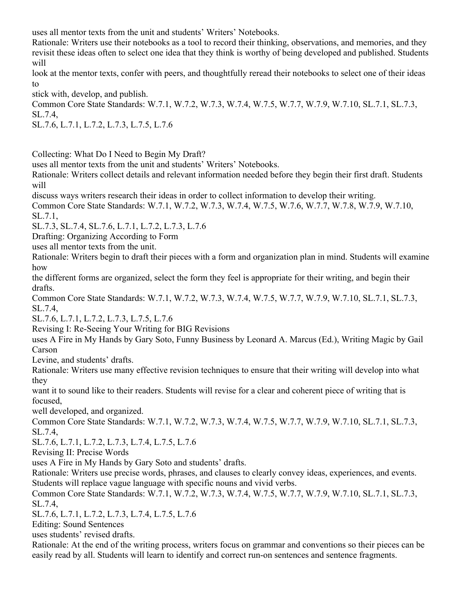uses all mentor texts from the unit and students' Writers' Notebooks.

Rationale: Writers use their notebooks as a tool to record their thinking, observations, and memories, and they revisit these ideas often to select one idea that they think is worthy of being developed and published. Students will

look at the mentor texts, confer with peers, and thoughtfully reread their notebooks to select one of their ideas to

stick with, develop, and publish.

Common Core State Standards: W.7.1, W.7.2, W.7.3, W.7.4, W.7.5, W.7.7, W.7.9, W.7.10, SL.7.1, SL.7.3, SL.7.4,

SL.7.6, L.7.1, L.7.2, L.7.3, L.7.5, L.7.6

Collecting: What Do I Need to Begin My Draft?

uses all mentor texts from the unit and students' Writers' Notebooks.

Rationale: Writers collect details and relevant information needed before they begin their first draft. Students will

discuss ways writers research their ideas in order to collect information to develop their writing. Common Core State Standards: W.7.1, W.7.2, W.7.3, W.7.4, W.7.5, W.7.6, W.7.7, W.7.8, W.7.9, W.7.10, SL.7.1,

SL.7.3, SL.7.4, SL.7.6, L.7.1, L.7.2, L.7.3, L.7.6

Drafting: Organizing According to Form

uses all mentor texts from the unit.

Rationale: Writers begin to draft their pieces with a form and organization plan in mind. Students will examine how

the different forms are organized, select the form they feel is appropriate for their writing, and begin their drafts.

Common Core State Standards: W.7.1, W.7.2, W.7.3, W.7.4, W.7.5, W.7.7, W.7.9, W.7.10, SL.7.1, SL.7.3, SL.7.4,

SL.7.6, L.7.1, L.7.2, L.7.3, L.7.5, L.7.6

Revising I: Re-Seeing Your Writing for BIG Revisions

uses A Fire in My Hands by Gary Soto, Funny Business by Leonard A. Marcus (Ed.), Writing Magic by Gail Carson

Levine, and students' drafts.

Rationale: Writers use many effective revision techniques to ensure that their writing will develop into what they

want it to sound like to their readers. Students will revise for a clear and coherent piece of writing that is focused,

well developed, and organized.

Common Core State Standards: W.7.1, W.7.2, W.7.3, W.7.4, W.7.5, W.7.7, W.7.9, W.7.10, SL.7.1, SL.7.3, SL.7.4,

SL.7.6, L.7.1, L.7.2, L.7.3, L.7.4, L.7.5, L.7.6

Revising II: Precise Words

uses A Fire in My Hands by Gary Soto and students' drafts.

Rationale: Writers use precise words, phrases, and clauses to clearly convey ideas, experiences, and events. Students will replace vague language with specific nouns and vivid verbs.

Common Core State Standards: W.7.1, W.7.2, W.7.3, W.7.4, W.7.5, W.7.7, W.7.9, W.7.10, SL.7.1, SL.7.3, SL.7.4,

SL.7.6, L.7.1, L.7.2, L.7.3, L.7.4, L.7.5, L.7.6

Editing: Sound Sentences

uses students' revised drafts.

Rationale: At the end of the writing process, writers focus on grammar and conventions so their pieces can be easily read by all. Students will learn to identify and correct run-on sentences and sentence fragments.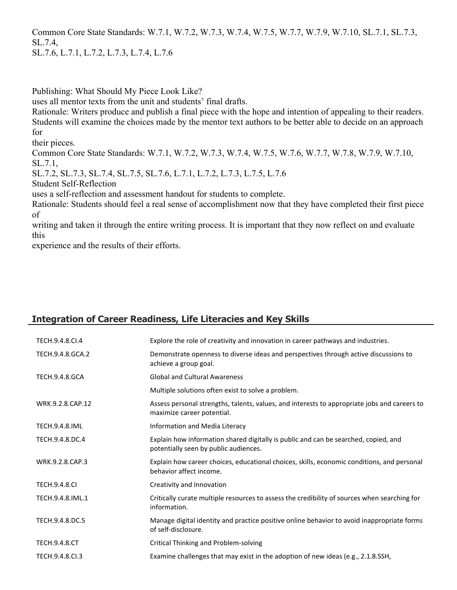Common Core State Standards: W.7.1, W.7.2, W.7.3, W.7.4, W.7.5, W.7.7, W.7.9, W.7.10, SL.7.1, SL.7.3, SL.7.4,

SL.7.6, L.7.1, L.7.2, L.7.3, L.7.4, L.7.6

Publishing: What Should My Piece Look Like?

uses all mentor texts from the unit and students' final drafts.

Rationale: Writers produce and publish a final piece with the hope and intention of appealing to their readers. Students will examine the choices made by the mentor text authors to be better able to decide on an approach for

their pieces.

Common Core State Standards: W.7.1, W.7.2, W.7.3, W.7.4, W.7.5, W.7.6, W.7.7, W.7.8, W.7.9, W.7.10, SL.7.1,

SL.7.2, SL.7.3, SL.7.4, SL.7.5, SL.7.6, L.7.1, L.7.2, L.7.3, L.7.5, L.7.6

Student Self-Reflection

uses a self-reflection and assessment handout for students to complete.

Rationale: Students should feel a real sense of accomplishment now that they have completed their first piece of

writing and taken it through the entire writing process. It is important that they now reflect on and evaluate this

experience and the results of their efforts.

# **Integration of Career Readiness, Life Literacies and Key Skills**

| TECH.9.4.8.Cl.4       | Explore the role of creativity and innovation in career pathways and industries.                                             |
|-----------------------|------------------------------------------------------------------------------------------------------------------------------|
| TECH.9.4.8.GCA.2      | Demonstrate openness to diverse ideas and perspectives through active discussions to<br>achieve a group goal.                |
| <b>TECH.9.4.8.GCA</b> | <b>Global and Cultural Awareness</b>                                                                                         |
|                       | Multiple solutions often exist to solve a problem.                                                                           |
| WRK.9.2.8.CAP.12      | Assess personal strengths, talents, values, and interests to appropriate jobs and careers to<br>maximize career potential.   |
| <b>TECH.9.4.8.IML</b> | Information and Media Literacy                                                                                               |
| TECH.9.4.8.DC.4       | Explain how information shared digitally is public and can be searched, copied, and<br>potentially seen by public audiences. |
| WRK.9.2.8.CAP.3       | Explain how career choices, educational choices, skills, economic conditions, and personal<br>behavior affect income.        |
| <b>TECH.9.4.8.CI</b>  | Creativity and Innovation                                                                                                    |
| TECH.9.4.8.IML.1      | Critically curate multiple resources to assess the credibility of sources when searching for<br>information.                 |
| TECH.9.4.8.DC.5       | Manage digital identity and practice positive online behavior to avoid inappropriate forms<br>of self-disclosure.            |
| <b>TECH.9.4.8.CT</b>  | Critical Thinking and Problem-solving                                                                                        |
| TECH.9.4.8.CI.3       | Examine challenges that may exist in the adoption of new ideas (e.g., 2.1.8.SSH,                                             |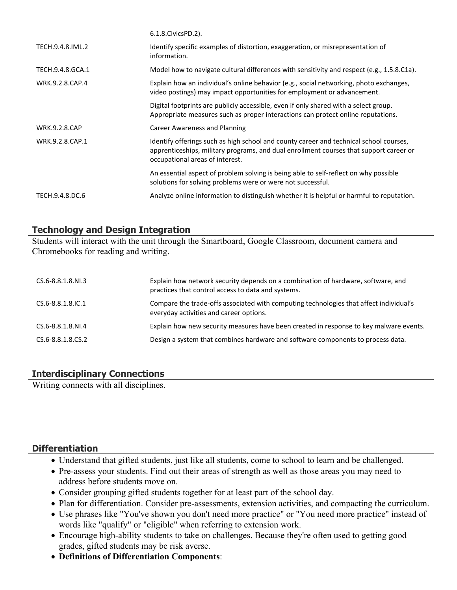|                      | 6.1.8. Civics PD. 2).                                                                                                                                                                                               |
|----------------------|---------------------------------------------------------------------------------------------------------------------------------------------------------------------------------------------------------------------|
| TECH.9.4.8.IML.2     | Identify specific examples of distortion, exaggeration, or misrepresentation of<br>information.                                                                                                                     |
| TECH.9.4.8.GCA.1     | Model how to navigate cultural differences with sensitivity and respect (e.g., 1.5.8.C1a).                                                                                                                          |
| WRK.9.2.8.CAP.4      | Explain how an individual's online behavior (e.g., social networking, photo exchanges,<br>video postings) may impact opportunities for employment or advancement.                                                   |
|                      | Digital footprints are publicly accessible, even if only shared with a select group.<br>Appropriate measures such as proper interactions can protect online reputations.                                            |
| <b>WRK.9.2.8.CAP</b> | <b>Career Awareness and Planning</b>                                                                                                                                                                                |
| WRK.9.2.8.CAP.1      | Identify offerings such as high school and county career and technical school courses,<br>apprenticeships, military programs, and dual enrollment courses that support career or<br>occupational areas of interest. |
|                      | An essential aspect of problem solving is being able to self-reflect on why possible<br>solutions for solving problems were or were not successful.                                                                 |
| TECH.9.4.8.DC.6      | Analyze online information to distinguish whether it is helpful or harmful to reputation.                                                                                                                           |

# **Technology and Design Integration**

Students will interact with the unit through the Smartboard, Google Classroom, document camera and Chromebooks for reading and writing.

| CS.6-8.8.1.8.NI.3        | Explain how network security depends on a combination of hardware, software, and<br>practices that control access to data and systems. |
|--------------------------|----------------------------------------------------------------------------------------------------------------------------------------|
| $CS.6 - 8.8.1.8$ . IC. 1 | Compare the trade-offs associated with computing technologies that affect individual's<br>everyday activities and career options.      |
| CS.6-8.8.1.8.NI.4        | Explain how new security measures have been created in response to key malware events.                                                 |
| CS.6-8.8.1.8.CS.2        | Design a system that combines hardware and software components to process data.                                                        |

# **Interdisciplinary Connections**

Writing connects with all disciplines.

# **Differentiation**

- Understand that gifted students, just like all students, come to school to learn and be challenged.
- Pre-assess your students. Find out their areas of strength as well as those areas you may need to address before students move on.
- Consider grouping gifted students together for at least part of the school day.
- Plan for differentiation. Consider pre-assessments, extension activities, and compacting the curriculum.
- Use phrases like "You've shown you don't need more practice" or "You need more practice" instead of words like "qualify" or "eligible" when referring to extension work.
- Encourage high-ability students to take on challenges. Because they're often used to getting good grades, gifted students may be risk averse.
- **Definitions of Differentiation Components**: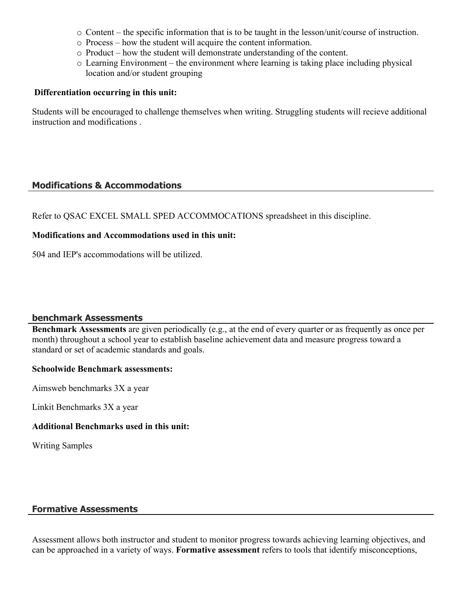- $\circ$  Content the specific information that is to be taught in the lesson/unit/course of instruction.
- o Process how the student will acquire the content information.
- o Product how the student will demonstrate understanding of the content.
- o Learning Environment the environment where learning is taking place including physical location and/or student grouping

#### **Differentiation occurring in this unit:**

Students will be encouraged to challenge themselves when writing. Struggling students will recieve additional instruction and modifications .

## **Modifications & Accommodations**

Refer to QSAC EXCEL SMALL SPED ACCOMMOCATIONS spreadsheet in this discipline.

#### **Modifications and Accommodations used in this unit:**

504 and IEP's accommodations will be utilized.

#### **benchmark Assessments**

**Benchmark Assessments** are given periodically (e.g., at the end of every quarter or as frequently as once per month) throughout a school year to establish baseline achievement data and measure progress toward a standard or set of academic standards and goals.

#### **Schoolwide Benchmark assessments:**

Aimsweb benchmarks 3X a year

Linkit Benchmarks 3X a year

## **Additional Benchmarks used in this unit:**

Writing Samples

## **Formative Assessments**

Assessment allows both instructor and student to monitor progress towards achieving learning objectives, and can be approached in a variety of ways. **Formative assessment** refers to tools that identify misconceptions,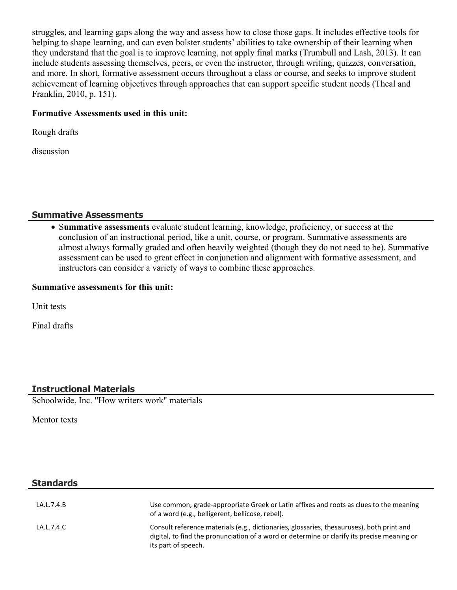struggles, and learning gaps along the way and assess how to close those gaps. It includes effective tools for helping to shape learning, and can even bolster students' abilities to take ownership of their learning when they understand that the goal is to improve learning, not apply final marks (Trumbull and Lash, 2013). It can include students assessing themselves, peers, or even the instructor, through writing, quizzes, conversation, and more. In short, formative assessment occurs throughout a class or course, and seeks to improve student achievement of learning objectives through approaches that can support specific student needs (Theal and Franklin, 2010, p. 151).

#### **Formative Assessments used in this unit:**

Rough drafts

discussion

#### **Summative Assessments**

 S**ummative assessments** evaluate student learning, knowledge, proficiency, or success at the conclusion of an instructional period, like a unit, course, or program. Summative assessments are almost always formally graded and often heavily weighted (though they do not need to be). Summative assessment can be used to great effect in conjunction and alignment with formative assessment, and instructors can consider a variety of ways to combine these approaches.

#### **Summative assessments for this unit:**

Unit tests

Final drafts

# **Instructional Materials**

Schoolwide, Inc. "How writers work" materials

Mentor texts

# **Standards**

| LA.L.7.4.B | Use common, grade-appropriate Greek or Latin affixes and roots as clues to the meaning<br>of a word (e.g., belligerent, bellicose, rebel).                                                                      |
|------------|-----------------------------------------------------------------------------------------------------------------------------------------------------------------------------------------------------------------|
| LA.L.7.4.C | Consult reference materials (e.g., dictionaries, glossaries, thesauruses), both print and<br>digital, to find the pronunciation of a word or determine or clarify its precise meaning or<br>its part of speech. |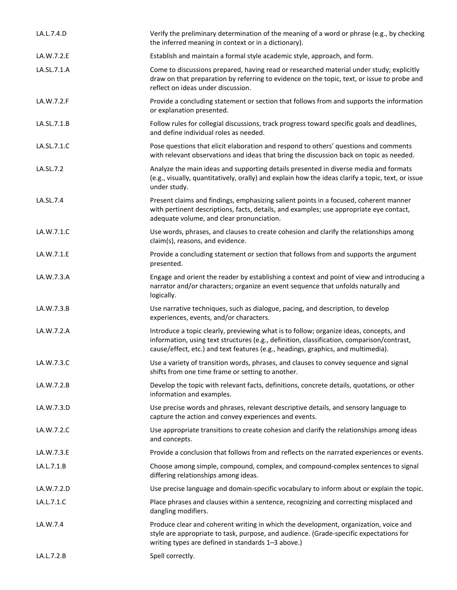| LA.L.7.4.D  | Verify the preliminary determination of the meaning of a word or phrase (e.g., by checking<br>the inferred meaning in context or in a dictionary).                                                                                                                        |
|-------------|---------------------------------------------------------------------------------------------------------------------------------------------------------------------------------------------------------------------------------------------------------------------------|
| LA.W.7.2.E  | Establish and maintain a formal style academic style, approach, and form.                                                                                                                                                                                                 |
| LA.SL.7.1.A | Come to discussions prepared, having read or researched material under study; explicitly<br>draw on that preparation by referring to evidence on the topic, text, or issue to probe and<br>reflect on ideas under discussion.                                             |
| LA.W.7.2.F  | Provide a concluding statement or section that follows from and supports the information<br>or explanation presented.                                                                                                                                                     |
| LA.SL.7.1.B | Follow rules for collegial discussions, track progress toward specific goals and deadlines,<br>and define individual roles as needed.                                                                                                                                     |
| LA.SL.7.1.C | Pose questions that elicit elaboration and respond to others' questions and comments<br>with relevant observations and ideas that bring the discussion back on topic as needed.                                                                                           |
| LA.SL.7.2   | Analyze the main ideas and supporting details presented in diverse media and formats<br>(e.g., visually, quantitatively, orally) and explain how the ideas clarify a topic, text, or issue<br>under study.                                                                |
| LA.SL.7.4   | Present claims and findings, emphasizing salient points in a focused, coherent manner<br>with pertinent descriptions, facts, details, and examples; use appropriate eye contact,<br>adequate volume, and clear pronunciation.                                             |
| LA.W.7.1.C  | Use words, phrases, and clauses to create cohesion and clarify the relationships among<br>claim(s), reasons, and evidence.                                                                                                                                                |
| LA.W.7.1.E  | Provide a concluding statement or section that follows from and supports the argument<br>presented.                                                                                                                                                                       |
| LA.W.7.3.A  | Engage and orient the reader by establishing a context and point of view and introducing a<br>narrator and/or characters; organize an event sequence that unfolds naturally and<br>logically.                                                                             |
| LA.W.7.3.B  | Use narrative techniques, such as dialogue, pacing, and description, to develop<br>experiences, events, and/or characters.                                                                                                                                                |
| LA.W.7.2.A  | Introduce a topic clearly, previewing what is to follow; organize ideas, concepts, and<br>information, using text structures (e.g., definition, classification, comparison/contrast,<br>cause/effect, etc.) and text features (e.g., headings, graphics, and multimedia). |
| LA.W.7.3.C  | Use a variety of transition words, phrases, and clauses to convey sequence and signal<br>shifts from one time frame or setting to another.                                                                                                                                |
| LA.W.7.2.B  | Develop the topic with relevant facts, definitions, concrete details, quotations, or other<br>information and examples.                                                                                                                                                   |
| LA.W.7.3.D  | Use precise words and phrases, relevant descriptive details, and sensory language to<br>capture the action and convey experiences and events.                                                                                                                             |
| LA.W.7.2.C  | Use appropriate transitions to create cohesion and clarify the relationships among ideas<br>and concepts.                                                                                                                                                                 |
| LA.W.7.3.E  | Provide a conclusion that follows from and reflects on the narrated experiences or events.                                                                                                                                                                                |
| LA.L.7.1.B  | Choose among simple, compound, complex, and compound-complex sentences to signal<br>differing relationships among ideas.                                                                                                                                                  |
| LA.W.7.2.D  | Use precise language and domain-specific vocabulary to inform about or explain the topic.                                                                                                                                                                                 |
| LA.L.7.1.C  | Place phrases and clauses within a sentence, recognizing and correcting misplaced and<br>dangling modifiers.                                                                                                                                                              |
| LA.W.7.4    | Produce clear and coherent writing in which the development, organization, voice and<br>style are appropriate to task, purpose, and audience. (Grade-specific expectations for<br>writing types are defined in standards 1-3 above.)                                      |
| LA.L.7.2.B  | Spell correctly.                                                                                                                                                                                                                                                          |